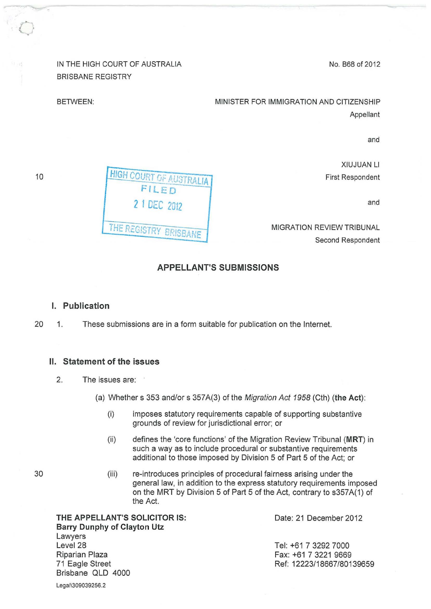IN THE HIGH COURT OF AUSTRALIA BRISBANE REGISTRY

—<br>|<br>|}

**HIGH COURT OF AUSTRALIA** FILED

2 1 DEC 2012

THE REGISTRY BRISBANE

No. B68 of 2012

MINISTER FOR IMMIGRATION AND CITIZENSHIP Appellant

and

XIUJUAN Ll First Respondent

and

MIGRATION REVIEW TRIBUNAL Second Respondent

### **APPELLANT'S SUBMISSIONS**

#### **I. Publication**

20 1. These submissions are in a form suitable for publication on the Internet.

### **II. Statement of the issues**

- 2. The issues are:
	- (a) Whether s 353 and/or s 357 A(3) of the Migration Act 1958 (Cth) **(the Act):** 
		- (i) imposes statutory requirements capable of supporting substantive grounds of review for jurisdictional error; or
		- (ii) defines the 'core functions' of the Migration Review Tribunal **(MRT)** in such a way as to include procedural or substantive requirements additional to those imposed by Division 5 of Part 5 of the Act; or
		- (iii) re-introduces principles of procedural fairness arising under the general law, in addition to the express statutory requirements imposed on the MRT by Division 5 of Part 5 of the Act, contrary to s357A(1) of the Act.

**THE APPELLANT'S SOLICITOR IS:** Date: 21 December 2012 **Barry Dunphy of Clayton Utz**  Lawyers Level<sub>28</sub> Riparian Plaza 71 Eagle Street Brisbane QLD 4000

Legal\309039256.2

Tel: +61 7 3292 7000 Fax: +61 7 3221 9669 Ref: 12223/18667/80139659

30

BETWEEN: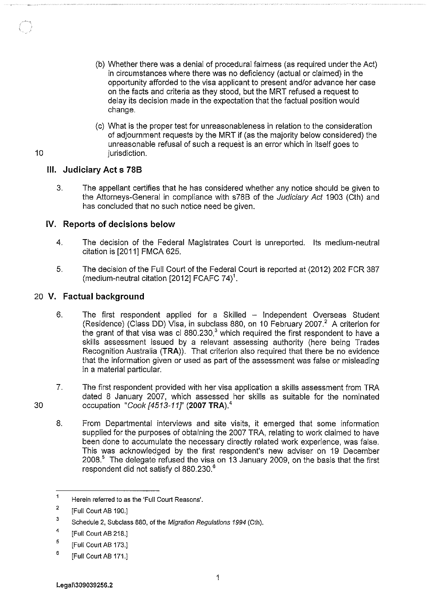- (b) Whether there was a denial of procedural fairness (as required under the Act) in circumstances where there was no deficiency (actual or claimed) in the opportunity afforded to the visa applicant to present and/or advance her case on the facts and criteria as they stood, but the MRT refused a request to delay its decision made in the expectation that the factual position would change.
- (c) What is the proper test for unreasonableness in relation to the consideration of adjournment requests by the MRT if (as the majority below considered) the unreasonable refusal of such a request is an error which in itself goes to jurisdiction.

# **Ill. Judiciary Acts 788**

10

30

3. The appellant certifies that he has considered whether any notice should be given to the Attorneys-General in compliance with s78B of the Judiciary Act 1903 (Cth) and has concluded that no such notice need be given.

# **IV. Reports of decisions below**

- 4. The decision of the Federal Magistrates Court is unreported. Its medium-neutral citation is [2011] FMCA 625.
- 5. The decision of the Full Court of the Federal Court is reported at (2012) 202 FCR 387 (medium-neutral citation [2012] FCAFC 74)<sup>1</sup>.

# 20 **V. Factual background**

- 6. The first respondent applied for a Skilled Independent Overseas Student (Residence) (Class DD) Visa, in subclass 880, on 10 February 2007. $^2$  A criterion for the grant of that visa was cl  $880.230<sub>1</sub><sup>3</sup>$  which required the first respondent to have a skills assessment issued by a relevant assessing authority (here being Trades Recognition Australia **(TRA)).** That criterion also required that there be no evidence that the information given or used as part of the assessment was false or misleading in a material particular.
- 7. The first respondent provided with her visa application a skills assessment from TRA dated 8 January 2007, which assessed her skills as suitable for the nominated occupation "Cook [4513-11]' **(2007 TRA).'** 
	- 8. From Departmental interviews and site visits, it emerged that some information supplied for the purposes of obtaining the 2007 TRA, relating to work claimed to have been done to accumulate the necessary directly related work experience, was false. This was acknowledged by the first respondent's new adviser on 19 December 2008.5 The delegate refused the visa on 13 January 2009, on the basis that the first respondent did not satisfy cl 880.230.<sup>6</sup>

 $\mathbf{1}$ Herein referred to as the 'Full Court Reasons'.

<sup>2</sup>  [Full Court AB 190.]

<sup>3</sup>  Schedule 2, Subclass 880, of the Migration Regulations 1994 (Cth).

<sup>4</sup>  [Full Court AB 218.]

<sup>5</sup>  [Full Court AB 173.]

<sup>6</sup>  [Full Court AB 171.]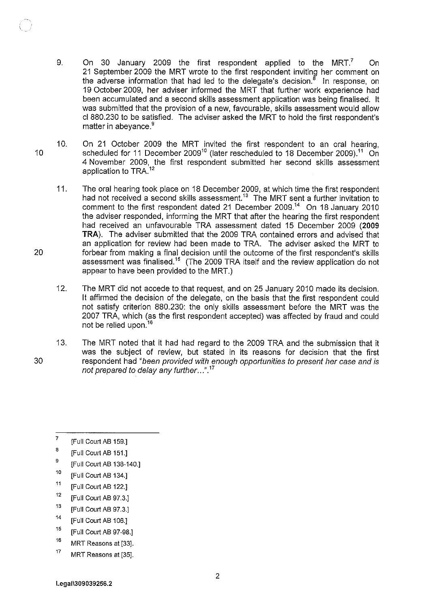- 9. On 30 January 2009 the first respondent applied to the MRT? On 21 September 2009 the MRT wrote to the first respondent inviting her comment on the adverse information that had led to the delegate's decision.<sup>8</sup> In response, on 19 October 2009, her adviser informed the MRT that further work experience had been accumulated and a second skills assessment application was being finalised. It was submitted that the provision of a new, favourable, skills assessment would allow cl 880.230 to be satisfied. The adviser asked the MRT to hold the first respondent's matter in abevance.<sup>9</sup>
- 10. On 21 October 2009 the MRT invited the first respondent to an oral hearing, scheduled for 11 December 2009<sup>10</sup> (later rescheduled to 18 December 2009).<sup>11</sup> On 4 November 2009, the first respondent submitted her second skills assessment application to TRA.<sup>12</sup>
	- 11. The oral hearing took place on 18 December 2009, at which time the first respondent had not received a second skills assessment.<sup>13</sup> The MRT sent a further invitation to comment to the first respondent dated 21 December 2009.<sup>14</sup> On 18 January 2010 the adviser responded, informing the MRT that after the hearing the first respondent had received an unfavourable TRA assessment dated 15 December 2009 **(2009 TRA).** The adviser submitted that the 2009 TRA contained errors and advised that an application for review had been made to TRA. The adviser asked the MRT to forbear from making a final decision until the outcome of the first respondent's skills assessment was finalised.<sup>15</sup> (The 2009 TRA itself and the review application do not appear to have been provided to the MRT.)
	- 12. The MRT did not accede to that request, and on 25 January 2010 made its decision. It affirmed the decision of the delegate, on the basis that the first respondent could not satisfy criterion 880.230: the only skills assessment before the MRT was the 2007 TRA, which (as the first respondent accepted) was affected by fraud and could not be relied upon.<sup>16</sup>
	- 13. The MRT noted that it had had regard to the 2009 TRA and the submission that it was the subject of review, but stated in its reasons for decision that the first respondent had "been provided with enough opportunities to present her case and is not prepared to delay any further ...".<sup>17</sup>
	- 7 [Full Court AB 159.]
	- B [Full Court AB 151.]
	- 9 [Full Court AB 138-140.]
	- 10 [Full Court AB 134.]
	- 11 [Full Court AB 122.]
	- 12 [Full Court AB 97.3.]
	- 13 [Full Court AB 97.3.]
	- 14 [Full Court AB 106.]
	- 15 [Full Court AB 97-98.]
	- 16 MRT Reasons at [33].
	- 17 MRT Reasons at [35].

30

10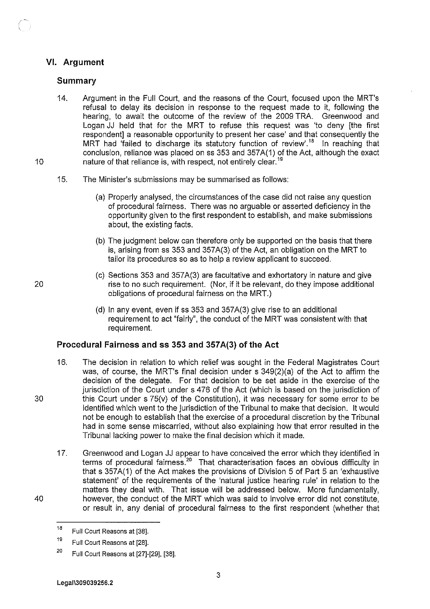# **VI. Argument**

### **Summary**

- 14. Argument in the Full Court, and the reasons of the Court, focused upon the MRT's refusal to delay its decision in response to the request made to it, following the hearing, to await the outcome of the review of the 2009 TRA. Greenwood and Logan JJ held that for the MRT to refuse this request was 'to deny [the first respondent] a reasonable opportunity to present her case' and that consequently the MRT had 'failed to discharge its statutory function of review'.<sup>18</sup> In reaching that conclusion, reliance was placed on ss 353 and 357A(1) of the Act, although the exact nature of that reliance is, with respect, not entirely clear.<sup>19</sup>
- 15. The Minister's submissions may be summarised as follows:
	- (a) Properly analysed, the circumstances of the case did not raise any question of procedural fairness. There was no arguable or asserted deficiency in the opportunity given to the first respondent to establish, and make submissions about, the existing facts.
	- (b) The judgment below can therefore only be supported on the basis that there is, arising from ss 353 and 357 A(3) of the Act, an obligation on the MRT to tailor its procedures so as to help a review applicant to succeed.
	- (c) Sections 353 and 357A(3) are facultative and exhortatory in nature and give rise to no such requirement. (Nor, if it be relevant, do they impose additional obligations of procedural fairness on the MRT.)
	- (d) In any event, even if ss 353 and 357A(3) give rise to an additional requirement to act "fairly", the conduct of the MRT was consistent with that requirement.

### **Procedural Fairness and ss 353 and 357 A(3) of the Act**

- 16. The decision in relation to which relief was sought in the Federal Magistrates Court was, of course, the MRT's final decision under s 349(2)(a) of the Act to affirm the decision of the delegate. For that decision to be set aside in the exercise of the jurisdiction of the Court under s 476 of the Act (which is based on the jurisdiction of this Court under s 75(v) of the Constitution), it was necessary for some error to be identified which went to the jurisdiction of the Tribunal to make that decision. It would not be enough to establish that the exercise of a procedural discretion by the Tribunal had in some sense miscarried, without also explaining how that error resulted in the Tribunal lacking power to make the final decision which it made.
- 17. Greenwood and Logan JJ appear to have conceived the error which they identified in terms of procedural fairness.<sup>20</sup> That characterisation faces an obvious difficulty in that s 357 A(1) of the Act makes the provisions of Division 5 of Part 5 an 'exhaustive statement' of the requirements of the 'natural justice hearing rule' in relation to the matters they deal with. That issue will be addressed below. More fundamentally, however, the conduct of the MRT which was said to involve error did not constitute, or result in, any denial of procedural fairness to the first respondent (whether that

Legal\309039256.2

10

<sup>18</sup>  Full Court Reasons at [38].

<sup>19</sup>  Full Court Reasons at [28].

<sup>20</sup>  Full Court Reasons at [27]·[29], [38].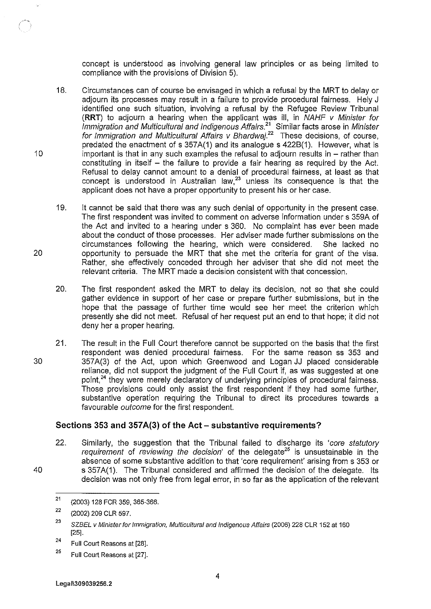concept is understood as involving general law principles or as being limited to compliance with the provisions of Division 5).

- 18. Circumstances can of course be envisaged in which a refusal by the MRT to delay or adjourn its processes may result in a failure to provide procedural fairness. Hely J identified one such situation, involving a refusal by the Refugee Review Tribunal **(RRT}** to adjourn a hearing when the applicant was ill, in NAHF v Minister for Immigration and Multicultural and Indigenous Affairs.<sup>21</sup> Similar facts arose in Minister for Immigration and Multicultural Affairs v Bhardwaj.<sup>22</sup> These decisions, of course, predated the enactment of s 357A(1) and its analogue s 422B(1). However, what is important is that in any such examples the refusal to adjourn results in  $-$  rather than constituting in itself  $-$  the failure to provide a fair hearing as required by the Act. Refusal to delay cannot amount to a denial of procedural fairness, at least as that concept is understood in Australian law,<sup>23</sup> unless its consequence is that the applicant does not have a proper opportunity to present his or her case.
- 19. It cannot be said that there was any such denial of opportunity in the present case. The first respondent was invited to comment on adverse information under s 359A of the Act and invited to a hearing under s 360. No complaint has ever been made about the conduct of those processes. Her adviser made further submissions on the circumstances following the hearing, which were considered. She lacked no opportunity to persuade the MRT that she met the criteria for grant of the visa. Rather, she effectively conceded through her adviser that she did not meet the relevant criteria. The MRT made a decision consistent with that concession.
- 20. The first respondent asked the MRT to delay its decision, not so that she could gather evidence in support of her case or prepare further submissions, but in the hope that the passage of further time would see her meet the criterion which presently she did not meet. Refusal of her request put an end to that hope; it did not deny her a proper hearing.
- 30 21. The result in the Full Court therefore cannot be supported on the basis that the first respondent was denied procedural fairness. For the same reason ss 353 and 357 A(3) of the Act, upon which Greenwood and Logan JJ placed considerable reliance, did not support the judgment of the Full Court if, as was suggested at one point.<sup>24</sup> they were merely declaratory of underlying principles of procedural fairness. Those provisions could only assist the first respondent if they had some further, substantive operation requiring the Tribunal to direct its procedures towards a favourable outcome for the first respondent.

#### **Sections 353 and 357A(3) of the Act- substantive requirements?**

22. Similarly, the suggestion that the Tribunal failed to discharge its 'core statutory requirement of reviewing the decision' of the delegate<sup>25</sup> is unsustainable in the absence of some substantive addition to that 'core requirement' arising from s 353 or s 357A(1). The Tribunal considered and affirmed the decision of the delegate. Its decision was not only free from legal error, in so far as the application of the relevant

- 24 Full Court Reasons at [28].
- 25 Full Court Reasons at [27].

40

20

<sup>21</sup>  (2003) 128 FCR 359, 365-366.

<sup>22</sup>  (2002) 209 CLR 597.

<sup>23</sup>  SZBEL *v* Minister for Immigration, Multicultural and Indigenous Affairs (2006) 228 CLR 152 at 160 [25].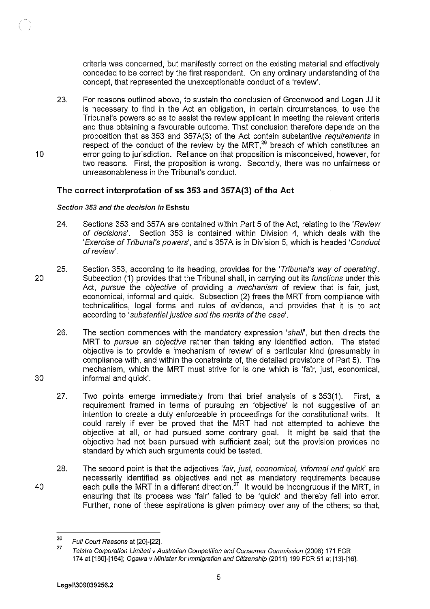criteria was concerned, but manifestly correct on the existing material and effectively conceded to be correct by the first respondent. On any ordinary understanding of the concept, that represented the unexceptionable conduct of a 'review'.

23. For reasons outlined above, to sustain the conclusion of Greenwood and Logan JJ it is necessary to find in the Act an obligation, in certain circumstances, to use the Tribunal's powers so as to assist the review applicant in meeting the relevant criteria and thus obtaining a favourable outcome. That conclusion therefore depends on the proposition that ss 353 and 357A(3) of the Act contain substantive requirements in respect of the conduct of the review by the MRT,<sup>26</sup> breach of which constitutes an error going to jurisdiction. Reliance on that proposition is misconceived, however, for two reasons. First, the proposition is wrong. Secondly, there was no unfairness or unreasonableness in the Tribunal's conduct.

### **The correct interpretation of 55 353 and 357 A(3) of the Act**

#### Section 353 and the decision in **Eshstu**

- 24. Sections 353 and 357A are contained within Part 5 of the Act, relating to the 'Review of decisions'. Section 353 is contained within Division 4, which deals with the 'Exercise of Tribunal's powers', and s 357A is in Division 5, which is headed 'Conduct of review'.
- 20 25. Section 353, according to its heading, provides for the 'Tribunal's way of operating'. Subsection (1) provides that the Tribunal shall, in carrying out its functions under this Act, pursue the objective of providing a mechanism of review that is fair, just, economical, informal and quick. Subsection (2) frees the MRT from compliance with technicalities, legal forrns and rules of evidence, and provides that it is to act according to 'substantial justice and the merits of the case'.
	- 26. The section commences with the mandatory expression 'shall', but then directs the MRT to pursue an objective rather than taking any identified action. The stated objective is to provide a 'mechanism of review' of a particular kind (presumably in compliance with, and within the constraints of, the detailed provisions of Part 5). The mechanism, which the MRT must strive for is one which is 'fair, just, economical, informal and quick'.
	- 27. Two points emerge immediately from that brief analysis of s 353(1). First, a requirement frarned in terms of pursuing an 'objective' is not suggestive of an intention to create a duty enforceable in proceedings for the constitutional writs. It could rarely if ever be proved that the MRT had not attempted to achieve the objective at all, or had pursued some contrary goal. It might be said that the objective had not been pursued with sufficient zeal; but the provision provides no standard by which such arguments could be tested.
	- 28. The second point is that the adjectives 'fair, just, economical, informal and quick' are necessarily identified as objectives and not as mandatory requirements because each pulls the MRT in a different direction.<sup>27</sup> It would be incongruous if the MRT, in ensuring that its process was 'fair' failed to be 'quick' and thereby fell into error. Further, none of these aspirations is given primacy over any of the others; so that,

Legal\309039256.2

30

10

<sup>26</sup>  Full Court Reasons at [20]-[22].

<sup>27</sup>  Telstra Corporation Limited v Australian Competition and Consumer Commission (2008) 171 FCR 174 at [160]-[164]; Ogawa v Minister for Immigration and Citizenship (2011) 199 FCR 51 at [13]-[16].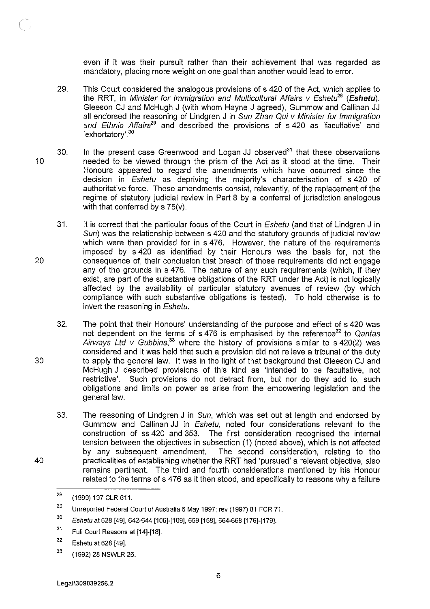even if it was their pursuit rather than their achievement that was regarded as mandatory, placing more weight on one goal than another would lead to error.

- 29. This Court considered the analogous provisions of s 420 of the Act, which applies to the RRT, in Minister for Immigration and Multicultural Affairs v Eshetu<sup>28</sup> (Eshetu). Gleeson CJ and McHugh J (with whom Hayne J agreed), Gummow and Callinan JJ all endorsed the reasoning of Lindgren J in Sun Zhan Qui *v* Minister for Immigration and Ethnic Affairs<sup>29</sup> and described the provisions of s 420 as 'facultative' and 'exhortatory'. <sup>30</sup>
- 10 30. In the present case Greenwood and Logan JJ observed $31$  that these observations needed to be viewed through the prism of the Act as it stood at the time. Their Honours appeared to regard the amendments which have occurred since the decision in Eshetu as depriving the majority's characterisation of s 420 of authoritative force. Those amendments consist, relevantly, of the replacement of the regime of statutory judicial review in Part 8 by a conferral of jurisdiction analogous with that conferred by s 75(v).
	- 31. It is correct that the particular focus of the Court in *Eshetu* (and that of Lindgren J in Sun) was the relationship between s 420 and the statutory grounds of judicial review which were then provided for in s 476. However, the nature of the requirements imposed by s 420 as identified by their Honours was the basis for, not the consequence of, their conclusion that breach of those requirements did not engage any of the grounds in s 476. The nature of any such requirements (which, if they exist, are part of the substantive obligations of the RRT under the Act) is not logically affected by the availability of particular statutory avenues of review (by which compliance with such substantive obligations is tested). To hold otherwise is to invert the reasoning in Eshetu.
		- 32. The point that their Honours' understanding of the purpose and effect of s 420 was not dependent on the terms of  $s$  476 is emphasised by the reference<sup>32</sup> to Qantas Airways Ltd  $v$  Gubbins,<sup>33</sup> where the history of provisions similar to s 420(2) was considered and it was held that such a provision did not relieve a tribunal of the duty to apply the general law. It was in the light of that background that Gleeson CJ and McHugh J described provisions of this kind as 'intended to be facultative, not restrictive'. Such provisions do not detract from, but nor do they add to, such obligations and limits on power as arise from the empowering legislation and the general law.
		- 33. The reasoning of Lindgren J in Sun, which was set out at length and endorsed by Gummow and Callinan JJ in Eshetu, noted four considerations relevant to the construction of ss 420 and 353. The first consideration recognised the internal tension between the objectives in subsection (1) (noted above), which is not affected by any subsequent amendment. The second consideration, relating to the practicalities of establishing whether the RRT had 'pursued' a relevant objective, also remains pertinent. The third and fourth considerations mentioned by his Honour related to the terms of s 476 as it then stood, and specifically to reasons why a failure

20

30

<sup>28</sup>  (1999) 197 CLR 611.

<sup>29</sup>  Unreported Federal Court of Australia 6 May 1997; rev (1997) 81 FCR 71.

<sup>30</sup>  Eshetu at 628 [49], 642-644 [106]-[109], 659 [158], 664-668 [176]-[179].

<sup>31</sup>  Full Court Reasons at [14]-[18].

<sup>32</sup>  Eshetu at 628 [49].

<sup>33</sup>  (1992) 28 NSWLR 26.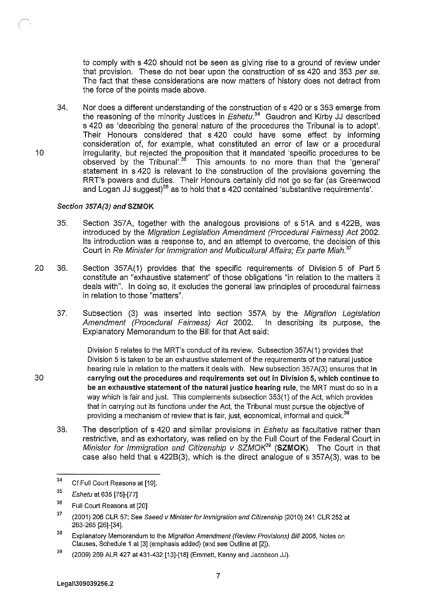to comply with s 420 should not be seen as giving rise to a ground of review under that provision. These do not bear upon the construction of ss 420 and 353 per se. The fact that these considerations are now matters of history does not detract from the force of the points made above.

34. Nor does a different understanding of the construction of s 420 or s 353 emerge from the reasoning of the minority Justices in *Eshetu*.<sup>34</sup> Gaudron and Kirby JJ described s 420 as 'describing the general nature of the procedures the Tribunal is to adopt'. Their Honours considered that s 420 could have some effect by informing consideration of, for example, what constituted an error of law or a procedural irregularity, but rejected the proposition that it mandated 'specific procedures to be observed by the Tribunal'.<sup>35</sup> This amounts to no more than that the 'general' statement in s 420 is relevant to the construction of the provisions governing the RRT's powers and duties. Their Honours certainly did not go so far (as Greenwood and Logan JJ suggest)<sup>36</sup> as to hold that s 420 contained 'substantive requirements'.

#### Section 357A(3) and SZMOK

- 35. Section 357A, together with the analogous provisions of s 51A and s 422B, was introduced by the Migration Legislation Amendment (Procedural Fairness) Act 2002. Its introduction was a response to, and an attempt to overcome, the decision of this Court in Re Minister for Immigration and Multicultural Affairs; Ex parte Miah.<sup>37</sup>
- 20 36. Section 357A(1) provides that the specific requirements of Division 5 of Part 5 constitute an "exhaustive statement" of those obligations "in relation to the matters it deals with". In doing so, it excludes the general law principles of procedural fairness in relation to those "matters".
	- 37. Subsection (3) was inserted into section 357A by the Migration Legislation Amendment (Procedural Fairness) Act 2002. In describing its purpose, the Explanatory Memorandum to the Bill for that Act said:

Division 5 relates to the MRT's conduct of its review. Subsection 357A(1) provides that Division 5 is taken to be an exhaustive statement of the requirements of the natural justice hearing rule in relation to the matters it deals with. New subsection 357A(3) ensures that in carrying out the procedures and requirements set out in Division 5, which continue to be an exhaustive statement of the natural justice hearing rule, the MRT must do so in a way which is fair and just. This complements subsection 353(1) of the Act, which provides that in carrying out its functions under the Act, the Tribunal must pursue the objective of providing a mechanism of review that is fair, just, economical, informal and quick. $^{38}$ 

38. The description of s 420 and similar provisions in *Eshetu* as facultative rather than restrictive, and as exhortatory, was relied on by the Full Court of the Federal Court in Minister for Immigration and Citizenship v SZMOK<sup>39</sup> (SZMOK). The Court in that case also held that s 4228(3), which is the direct analogue of s 357A(3), was to be

<sup>34</sup>  Cf Full Court Reasons at [19].

<sup>35</sup>  Eshetu at 635 [75]-[77]

<sup>36</sup>  Full Court Reasons at [20]

<sup>37</sup>  (2001) 206 CLR 57; See Saeed v Minister for immigration and Citizenship (2010) 241 CLR 252 at 263-265 [26]-[34].

<sup>38</sup>  Explanatory Memorandum to the Migration Amendment (Review Provisions) Bill 2006, Notes on Clauses, Schedule 1 at [3] (emphasis added) (and see Outline at [2]).

<sup>39</sup>  (2009) 259 ALR 427 at 431-432 [13]-[18] (Emmett, Kenny and Jacobson JJ).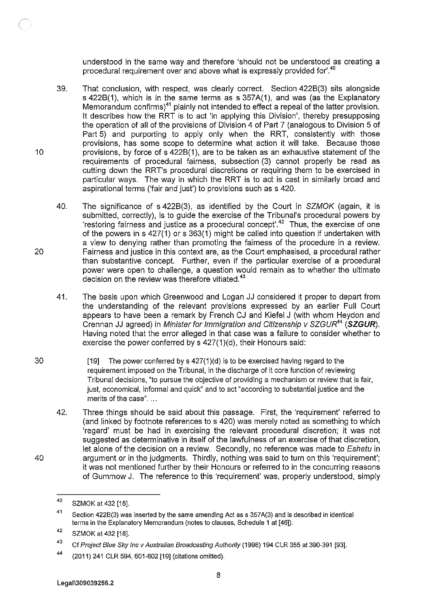understood in the same way and therefore 'should not be understood as creating a procedural requirement over and above what is expressly provided for'.<sup>40</sup>

- 39. That conclusion, with respect, was clearly correct. Section 4228(3) sits alongside s 4228(1), which is in the same terms as s 357A(1}, and was (as the Explanatory Memorandum confirms)<sup>41</sup> plainly not intended to effect a repeal of the latter provision. It describes how the RRT is to act 'in applying this Division', thereby presupposing the operation of all of the provisions of Division 4 of Part 7 (analogous to Division 5 of Part 5) and purporting to apply only when the RRT, consistently with those provisions, has some scope to determine what action it will take. Because those provisions, by force of s 4228(1 ), are to be taken as an exhaustive statement of the requirements of procedural fairness, subsection (3) cannot properly be read as cutting down the RRT's procedural discretions or requiring them to be exercised in particular ways. The way in which the RRT is to act is cast in similarly broad and aspirational terms ('fair and just') to provisions such as s 420.
- 40. The significance of s 4228(3), as identified by the Court in SZMOK (again, it is submitted, correctly), is to guide the exercise of the Tribunal's procedural powers by 'restoring fairness and justice as a procedural concept'. <sup>42</sup>Thus, the exercise of one of the powers in s  $427(1)$  or s  $363(1)$  might be called into question if undertaken with a view to denying rather than promoting the fairness of the procedure in a review. Fairness and justice in this context are, as the Court emphasised, a procedural rather than substantive concept. Further, even if the particular exercise of a procedural power were open to challenge, a question would remain as to whether the ultimate decision on the review was therefore vitiated.<sup>43</sup>
- 41. The basis upon which Greenwood and Logan JJ considered it proper to depart from the understanding of the relevant provisions expressed by an earlier Full Court appears to have been a remark by French CJ and Kiefel J (with whom Heydon and Grennan JJ agreed) in Minister for Immigration and Citizenship v SZGUR<sup>44</sup> (SZGUR). Having noted that the error alleged in that case was a failure to consider whether to exercise the power conferred by s 427(1)(d), their Honours said:
- 30 [19] The power conferred by s 427(1)(d) is to be exercised having regard to the requirement imposed on the Tribunal, in the discharge of it core function of reviewing Tribunal decisions, "to pursue the objective of providing a mechanism or review that is fair, just, economical, informal and quick" and to act "according to substantial justice and the merits of the case"....
	- 42. Three things should be said about this passage. First, the 'requirement' referred to (and linked by footnote references to s 420) was merely noted as something to which 'regard' must be had in exercising the relevant procedural discretion; it was not suggested as determinative in itself of the lawfulness of an exercise of that discretion, let alone of the decision on a review. Secondly, no reference was made to Eshetu in argument or in the judgments. Thirdly, nothing was said to turn on this 'requirement'; it was not mentioned further by their Honours or referred to in the concurring reasons of Gummow J. The reference to this 'requirement' was, properly understood, simply

10

20

<sup>40</sup>  SZMOK at 432 [15].

<sup>41</sup>  Section 422B(3) was inserted by the same amending Act as s 357A(3) and is described in identical terms in the Explanatory Memorandum (notes to clauses, Schedule 1 at [46]).

<sup>42</sup>  SZMOK at 432 [18].

<sup>43</sup>  Cf Project Blue Sky Inc v Australian Broadcasting Authority (1998) 194 CLR 355 at 390-391 [93].

<sup>44</sup>  (2011) 241 CLR 594, 601-602 [19] (citations omitted).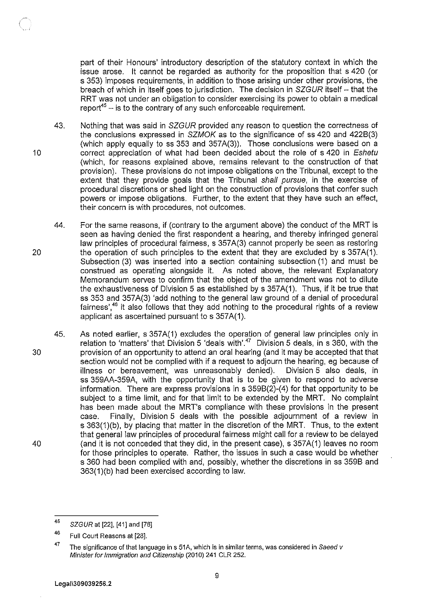part of their Honours' introductory description of the statutory context in which the issue arose. It cannot be regarded as authority for the proposition that s 420 (or s 353) imposes requirements, in addition to those arising under other provisions, the breach of which in itself goes to jurisdiction. The decision in SZGUR itself - that the RRT was not under an obligation to consider exercising its power to obtain a medical report<sup>45</sup>  $-$  is to the contrary of any such enforceable requirement.

- 43. Nothing that was said in SZGUR provided any reason to question the correctness of the conclusions expressed in SZMOK as to the significance of ss 420 and 4228(3) (which apply equally to ss 353 and 357A(3)). Those conclusions were based on a correct appreciation of what had been decided about the role of s 420 in Eshetu (which, for reasons explained above, remains relevant to the construction of that provision). These provisions do not impose obligations on the Tribunal, except to the extent that they provide goals that the Tribunal shall pursue, in the exercise of procedural discretions or shed light on the construction of provisions that confer such powers or impose obligations. Further, to the extent that they have such an effect, their concern is with procedures, not outcomes.
- 20 44. For the same reasons, if (contrary to the argument above) the conduct of the MRT is seen as having denied the first respondent a hearing, and thereby infringed general law principles of procedural fairness, s 357 A(3) cannot properly be seen as restoring the operation of such principles to the extent that they are excluded by s 357A(1). Subsection (3) was inserted into a section containing subsection (1) and must be construed as operating alongside it. As noted above, the relevant Explanatory Memorandum serves to confirm that the object of the amendment was not to dilute the exhaustiveness of Division 5 as established by s 357A(1). Thus, if it be true that ss 353 and 357A(3) 'add nothing to the general law ground of a denial of procedural fairness', $46$  it also follows that they add nothing to the procedural rights of a review applicant as ascertained pursuant to s 357A(1).
- 30 40 45. As noted earlier, s 357A(1) excludes the operation of general law principles only in relation to 'matters' that Division 5 'deals with'.<sup>47</sup> Division 5 deals, in s 360, with the provision of an opportunity to attend an oral hearing (and it may be accepted that that section would not be complied with if a request to adjourn the hearing, eg because of illness or bereavement, was unreasonably denied). Division 5 also deals, in ss 359AA-359A, with the opportunity that is to be given to respond to adverse information. There are express provisions in s 3598(2)-(4) for that opportunity to be subject to a time limit, and for that limit to be extended by the MRT. No complaint has been made about the MRT's compliance with these provisions in the present case. Finally, Division 5 deals with the possible adjournment of a review in s 363(1)(b), by placing that matter in the discretion of the MRT. Thus, to the extent that general law principles of procedural fairness might call for a review to be delayed (and it is not conceded that they did, in the present case), s 357A(1) leaves no room for those principles to operate. Rather, the issues in such a case would be whether s 360 had been complied with and, possibly, whether the discretions in ss 3598 and 363(1)(b) had been exercised according to law.

<sup>45</sup>  SZGUR at [22], [41] and [76]

<sup>46</sup>  Full Court Reasons at [28].

<sup>47</sup>  The significance of that language in s 51A, which is in similar terms, was considered in Saeed v Minister for Immigration and Citizenship (2010) 241 CLR 252.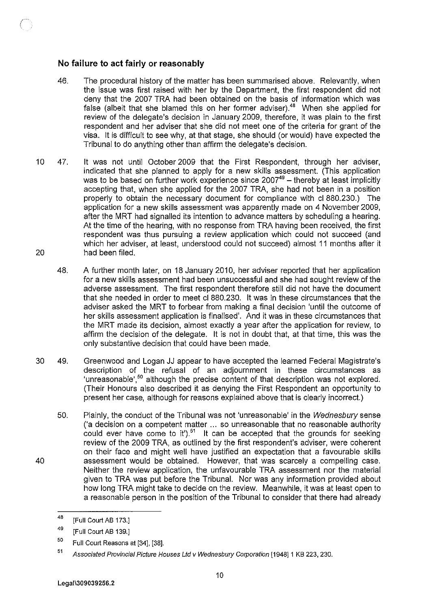# **No failure to act fairly or reasonably**

- 46. The procedural history of the matter has been summarised above. Relevantly, when the issue was first raised with her by the Department, the first respondent did not deny that the 2007 TRA had been obtained on the basis of information which was false (albeit that she blamed this on her former adviser).<sup>48</sup> When she applied for review of the delegate's decision in January 2009, therefore, it was plain to the first respondent and her adviser that she did not meet one of the criteria for grant of the visa. It is difficult to see why, at that stage, she should (or would) have expected the Tribunal to do anything other than affirm the delegate's decision.
- 10 47. It was not until October 2009 that the First Respondent, through her adviser, indicated that she planned to apply for a new skills assessment. (This application was to be based on further work experience since  $2007^{49}$  – thereby at least implicitly accepting that, when she applied for the 2007 TRA, she had not been in a position properly to obtain the necessary document for compliance with cl 880.230.) The application for a new skills assessment was apparently made on 4 November 2009, after the MRT had signalled its intention to advance matters by scheduling a hearing. At the time of the hearing, with no response from TRA having been received, the first respondent was thus pursuing a review application which could not succeed (and which her adviser, at least, understood could not succeed) almost 11 months after it 20 had been filed.
	- 48. A further month later, on 18 January 2010, her adviser reported that her application for a new skills assessment had been unsuccessful and she had sought review of the adverse assessment. The first respondent therefore still did not have the document that she needed in order to meet cl 880.230. It was in these circumstances that the adviser asked the MRT to forbear from making a final decision 'until the outcome of her skills assessment application is finalised'. And it was in these circumstances that the MRT made its decision, almost exactly a year after the application for review, to affirm the decision of the delegate. It is not in doubt that, at that time, this was the only substantive decision that could have been made.
- 30 49. Greenwood and Logan JJ appear to have accepted the learned Federal Magistrate's description of the refusal of an adjournment in these circumstances as 'unreasonable', $50$  although the precise content of that description was not explored. (Their Honours also described it as denying the First Respondent an opportunity to present her case, although for reasons explained above that is clearly incorrect.)
	- 50. Plainly, the conduct of the Tribunal was not 'unreasonable' in the Wednesbury sense ('a decision on a competent matter ... so unreasonable that no reasonable authority could ever have come to it').<sup>51</sup> It can be accepted that the grounds for seeking review of the 2009 TRA, as outlined by the first respondent's adviser, were coherent on their face and might well have justified an expectation that a favourable skills assessment would be obtained. However, that was scarcely a compelling case. Neither the review application, the unfavourable TRA assessment nor the material given to TRA was put before the Tribunal. Nor was any information provided about how long TRA might take to decide on the review. Meanwhile, it was at least open to a reasonable person in the position of the Tribunal to consider that there had already

<sup>48</sup>  [Full Court AB 173.]

<sup>49</sup>  [Full Court AB 139.]

<sup>50</sup>  Full Court Reasons at [34], [38].

<sup>51</sup>  Associated Provincial Picture Houses Ltd v Wednesbury Corporation [1948] 1 KB 223, 230.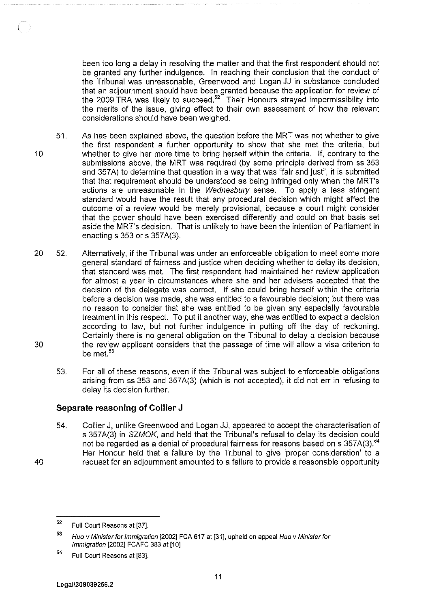been too long a delay in resolving the matter and that the first respondent should not be granted any further indulgence. In reaching their conclusion that the conduct of the Tribunal was unreasonable, Greenwood and Logan JJ in substance concluded that an adjournment should have been granted because the application for review of the 2009 TRA was likely to succeed.<sup>52</sup> Their Honours strayed impermissibility into the merits of the issue, giving effect to their own assessment of how the relevant considerations should have been weighed.

- 51. 10 As has been explained above, the question before the MRT was not whether to give the first respondent a further opportunity to show that she met the criteria, but whether to give her more time to bring herself within the criteria. If, contrary to the submissions above, the MRT was required (by some principle derived from ss 353 and 357A) to determine that question in a way that was "fair and just", it is submitted that that requirement should be understood as being infringed only when the MRT's actions are unreasonable in the Wednesbury sense. To apply a less stringent standard would have the result that any procedural decision which might affect the outcome of a review would be merely provisional, because a court might consider that the power should have been exercised differently and could on that basis set aside the MRT's decision. That is unlikely to have been the intention of Parliament in enacting  $s$  353 or  $s$  357A(3).
- 20 52. Alternatively, if the Tribunal was under an enforceable obligation to meet some more general standard of fairness and justice when deciding whether to delay its decision, that standard was met. The first respondent had maintained her review application for almost a year in circumstances where she and her advisers accepted that the decision of the delegate was correct. If she could bring herself within the criteria before a decision was made, she was entitled to a favourable decision; but there was no reason to consider that she was entitled to be given any especially favourable treatment in this respect. To put it another way, she was entitled to expect a decision according to law, but not further indulgence in putting off the day of reckoning. Certainly there is no general obligation on the Tribunal to delay a decision because the review applicant considers that the passage of time will allow a visa criterion to be met.<sup>53</sup> 30
	- 53. For all of these reasons, even if the Tribunal was subject to enforceable obligations arising from ss 353 and 357A(3) (which is not accepted), it did not err in refusing to delay its decision further.

### **Separate reasoning of Collier J**

54. Collier J, unlike Greenwood and Logan JJ, appeared to accept the characterisation of s 357A(3) in SZMOK, and held that the Tribunal's refusal to delay its decision could not be regarded as a denial of procedural fairness for reasons based on s 357A(3).<sup>54</sup> Her Honour held that a failure by the Tribunal to give 'proper consideration' to a request for an adjournment amounted to a failure to provide a reasonable opportunity

40

<sup>52</sup>  Full Court Reasons at [37].

<sup>53</sup>  Huo v Minister for Immigration [2002] FCA 617 at [31], upheld on appeal Huo v Minister for Immigration [2002] FCAFC 383 at [10]

<sup>54</sup>  Full Court Reasons at [83].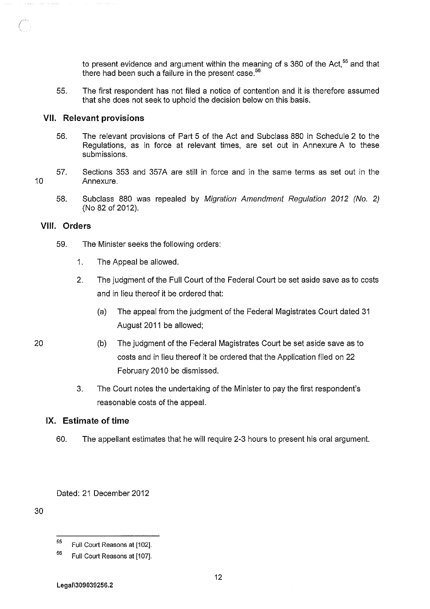to present evidence and argument within the meaning of s 360 of the Act.<sup>55</sup> and that there had been such a failure in the present case.<sup>56</sup>

55. The first respondent has not filed a notice of contention and it is therefore assumed that she does not seek to uphold the decision below on this basis.

### **VII. Relevant provisions**

- 56. The relevant provisions of Part 5 of the Act and Subclass 880 in Schedule 2 to the Regulations, as in force at relevant times, are set out in Annexure A to these submissions.
- 57. Sections 353 and 357A are still in force and in the same terms as set out in the Annexure.
	- 58. Subclass 880 was repealed by Migration Amendment Regulation 2012 (No. 2) (No 82 of 2012).

#### **VIII. Orders**

10

20

- 59. The Minister seeks the following orders:
	- 1. The Appeal be allowed.
	- 2. The judgment of the Full Court of the Federal Court be set aside save as to costs and in lieu thereof it be ordered that:
		- (a) The appeal from the judgment of the Federal Magistrates Court dated 31 August 2011 be allowed;
	- (b) The judgment of the Federal Magistrates Court be set aside save as to costs and in lieu thereof it be ordered that the Application filed on 22 February 2010 be dismissed.
		- 3. The Court notes the undertaking of the Minister to pay the first respondent's reasonable costs of the appeal.

#### **IX. Estimate of time**

60. The appellant estimates that he will require 2-3 hours to present his oral argument.

Dated: 21 December 2012

<sup>55</sup>  Full Court Reasons at [102].

<sup>56</sup>  Full Court Reasons at [107].